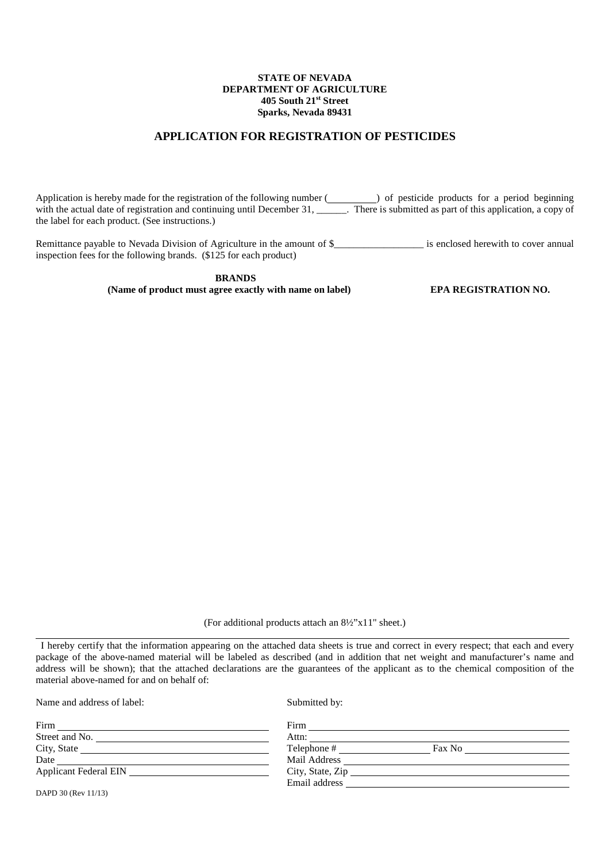### **STATE OF NEVADA DEPARTMENT OF AGRICULTURE 405 South 21st Street Sparks, Nevada 89431**

## **APPLICATION FOR REGISTRATION OF PESTICIDES**

Application is hereby made for the registration of the following number ( ) of pesticide products for a period beginning with the actual date of registration and continuing until December 31, \_\_\_\_\_\_\_. There is submitted as part of this application, a copy of the label for each product. (See instructions.)

Remittance payable to Nevada Division of Agriculture in the amount of \$<br>is enclosed herewith to cover annual inspection fees for the following brands. (\$125 for each product)

> **BRANDS (Name of product must agree exactly with name on label) EPA REGISTRATION NO.**

(For additional products attach an 8½"x11" sheet.)

 I hereby certify that the information appearing on the attached data sheets is true and correct in every respect; that each and every package of the above-named material will be labeled as described (and in addition that net weight and manufacturer's name and address will be shown); that the attached declarations are the guarantees of the applicant as to the chemical composition of the material above-named for and on behalf of:

Name and address of label: Submitted by:

l

| Firm                         | Firm                  |  |
|------------------------------|-----------------------|--|
| Street and No.               | Attn:                 |  |
| City, State                  | Telephone #<br>Fax No |  |
| Date                         | Mail Address          |  |
| <b>Applicant Federal EIN</b> | City, State, Zip      |  |
|                              | Email address         |  |

DAPD 30 (Rev 11/13)